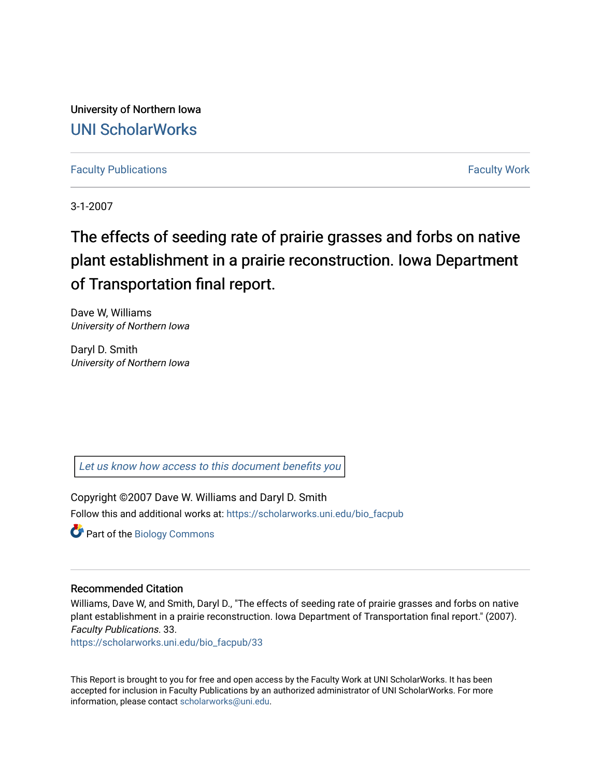University of Northern Iowa [UNI ScholarWorks](https://scholarworks.uni.edu/) 

[Faculty Publications](https://scholarworks.uni.edu/bio_facpub) [Faculty Work](https://scholarworks.uni.edu/fw_bio) 

3-1-2007

# The effects of seeding rate of prairie grasses and forbs on native plant establishment in a prairie reconstruction. Iowa Department of Transportation final report.

Dave W, Williams University of Northern Iowa

Daryl D. Smith University of Northern Iowa

[Let us know how access to this document benefits you](https://scholarworks.uni.edu/feedback_form.html) 

Copyright ©2007 Dave W. Williams and Daryl D. Smith Follow this and additional works at: [https://scholarworks.uni.edu/bio\\_facpub](https://scholarworks.uni.edu/bio_facpub?utm_source=scholarworks.uni.edu%2Fbio_facpub%2F33&utm_medium=PDF&utm_campaign=PDFCoverPages)

Part of the [Biology Commons](http://network.bepress.com/hgg/discipline/41?utm_source=scholarworks.uni.edu%2Fbio_facpub%2F33&utm_medium=PDF&utm_campaign=PDFCoverPages) 

# Recommended Citation

Williams, Dave W, and Smith, Daryl D., "The effects of seeding rate of prairie grasses and forbs on native plant establishment in a prairie reconstruction. Iowa Department of Transportation final report." (2007). Faculty Publications. 33.

[https://scholarworks.uni.edu/bio\\_facpub/33](https://scholarworks.uni.edu/bio_facpub/33?utm_source=scholarworks.uni.edu%2Fbio_facpub%2F33&utm_medium=PDF&utm_campaign=PDFCoverPages) 

This Report is brought to you for free and open access by the Faculty Work at UNI ScholarWorks. It has been accepted for inclusion in Faculty Publications by an authorized administrator of UNI ScholarWorks. For more information, please contact [scholarworks@uni.edu.](mailto:scholarworks@uni.edu)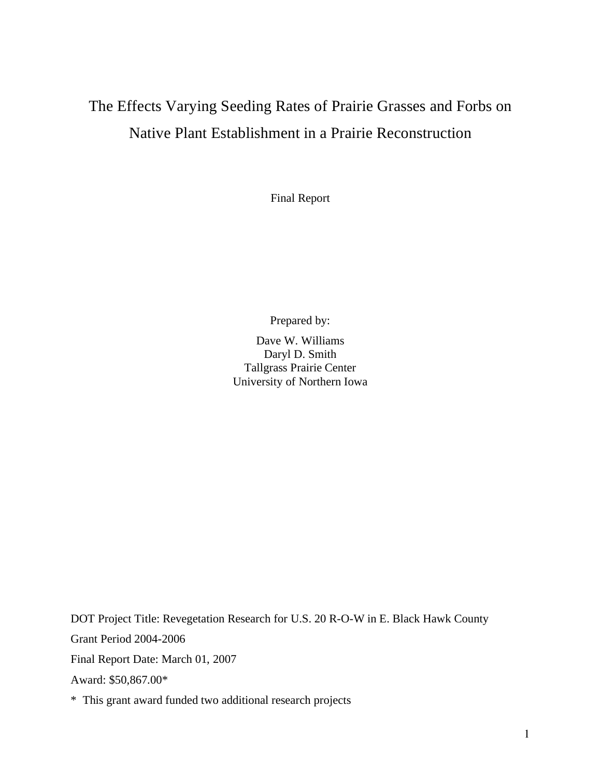# The Effects Varying Seeding Rates of Prairie Grasses and Forbs on Native Plant Establishment in a Prairie Reconstruction

Final Report

Prepared by:

Dave W. Williams Daryl D. Smith Tallgrass Prairie Center University of Northern Iowa

DOT Project Title: Revegetation Research for U.S. 20 R-O-W in E. Black Hawk County Grant Period 2004-2006 Final Report Date: March 01, 2007 Award: \$50,867.00\*

\* This grant award funded two additional research projects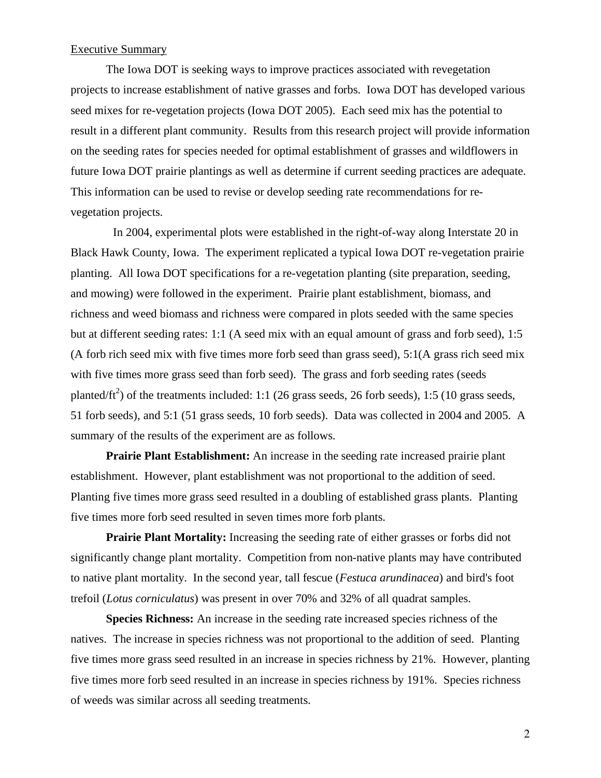# Executive Summary

The Iowa DOT is seeking ways to improve practices associated with revegetation projects to increase establishment of native grasses and forbs. Iowa DOT has developed various seed mixes for re-vegetation projects (Iowa DOT 2005). Each seed mix has the potential to result in a different plant community. Results from this research project will provide information on the seeding rates for species needed for optimal establishment of grasses and wildflowers in future Iowa DOT prairie plantings as well as determine if current seeding practices are adequate. This information can be used to revise or develop seeding rate recommendations for revegetation projects.

 In 2004, experimental plots were established in the right-of-way along Interstate 20 in Black Hawk County, Iowa. The experiment replicated a typical Iowa DOT re-vegetation prairie planting. All Iowa DOT specifications for a re-vegetation planting (site preparation, seeding, and mowing) were followed in the experiment. Prairie plant establishment, biomass, and richness and weed biomass and richness were compared in plots seeded with the same species but at different seeding rates: 1:1 (A seed mix with an equal amount of grass and forb seed), 1:5 (A forb rich seed mix with five times more forb seed than grass seed), 5:1(A grass rich seed mix with five times more grass seed than forb seed). The grass and forb seeding rates (seeds planted/ft<sup>2</sup>) of the treatments included: 1:1 (26 grass seeds, 26 forb seeds), 1:5 (10 grass seeds, 51 forb seeds), and 5:1 (51 grass seeds, 10 forb seeds). Data was collected in 2004 and 2005. A summary of the results of the experiment are as follows.

**Prairie Plant Establishment:** An increase in the seeding rate increased prairie plant establishment. However, plant establishment was not proportional to the addition of seed. Planting five times more grass seed resulted in a doubling of established grass plants. Planting five times more forb seed resulted in seven times more forb plants.

**Prairie Plant Mortality:** Increasing the seeding rate of either grasses or forbs did not significantly change plant mortality. Competition from non-native plants may have contributed to native plant mortality. In the second year, tall fescue (*Festuca arundinacea*) and bird's foot trefoil (*Lotus corniculatus*) was present in over 70% and 32% of all quadrat samples.

**Species Richness:** An increase in the seeding rate increased species richness of the natives. The increase in species richness was not proportional to the addition of seed. Planting five times more grass seed resulted in an increase in species richness by 21%. However, planting five times more forb seed resulted in an increase in species richness by 191%. Species richness of weeds was similar across all seeding treatments.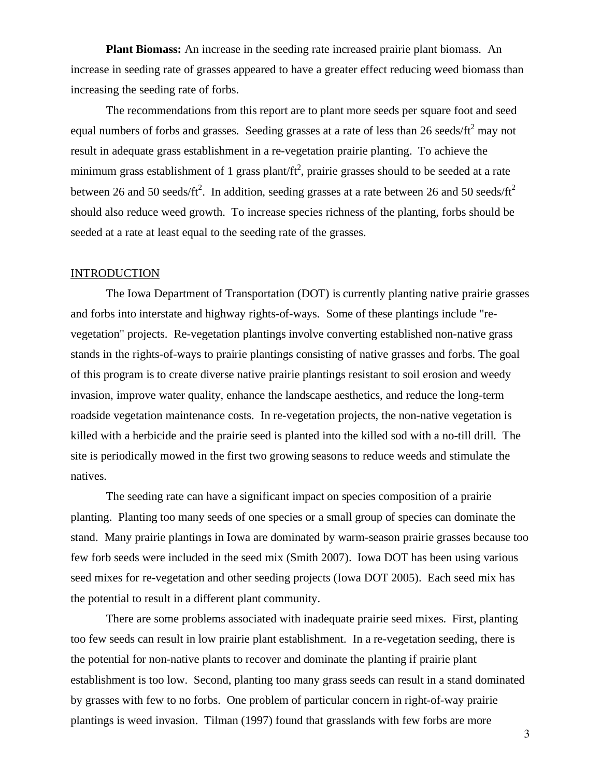**Plant Biomass:** An increase in the seeding rate increased prairie plant biomass. An increase in seeding rate of grasses appeared to have a greater effect reducing weed biomass than increasing the seeding rate of forbs.

The recommendations from this report are to plant more seeds per square foot and seed equal numbers of forbs and grasses. Seeding grasses at a rate of less than 26 seeds/ft<sup>2</sup> may not result in adequate grass establishment in a re-vegetation prairie planting. To achieve the minimum grass establishment of 1 grass plant/ft<sup>2</sup>, prairie grasses should to be seeded at a rate between 26 and 50 seeds/ft<sup>2</sup>. In addition, seeding grasses at a rate between 26 and 50 seeds/ft<sup>2</sup> should also reduce weed growth. To increase species richness of the planting, forbs should be seeded at a rate at least equal to the seeding rate of the grasses.

#### **INTRODUCTION**

The Iowa Department of Transportation (DOT) is currently planting native prairie grasses and forbs into interstate and highway rights-of-ways. Some of these plantings include "revegetation" projects. Re-vegetation plantings involve converting established non-native grass stands in the rights-of-ways to prairie plantings consisting of native grasses and forbs. The goal of this program is to create diverse native prairie plantings resistant to soil erosion and weedy invasion, improve water quality, enhance the landscape aesthetics, and reduce the long-term roadside vegetation maintenance costs. In re-vegetation projects, the non-native vegetation is killed with a herbicide and the prairie seed is planted into the killed sod with a no-till drill. The site is periodically mowed in the first two growing seasons to reduce weeds and stimulate the natives.

The seeding rate can have a significant impact on species composition of a prairie planting. Planting too many seeds of one species or a small group of species can dominate the stand. Many prairie plantings in Iowa are dominated by warm-season prairie grasses because too few forb seeds were included in the seed mix (Smith 2007). Iowa DOT has been using various seed mixes for re-vegetation and other seeding projects (Iowa DOT 2005). Each seed mix has the potential to result in a different plant community.

There are some problems associated with inadequate prairie seed mixes. First, planting too few seeds can result in low prairie plant establishment. In a re-vegetation seeding, there is the potential for non-native plants to recover and dominate the planting if prairie plant establishment is too low. Second, planting too many grass seeds can result in a stand dominated by grasses with few to no forbs. One problem of particular concern in right-of-way prairie plantings is weed invasion. Tilman (1997) found that grasslands with few forbs are more

3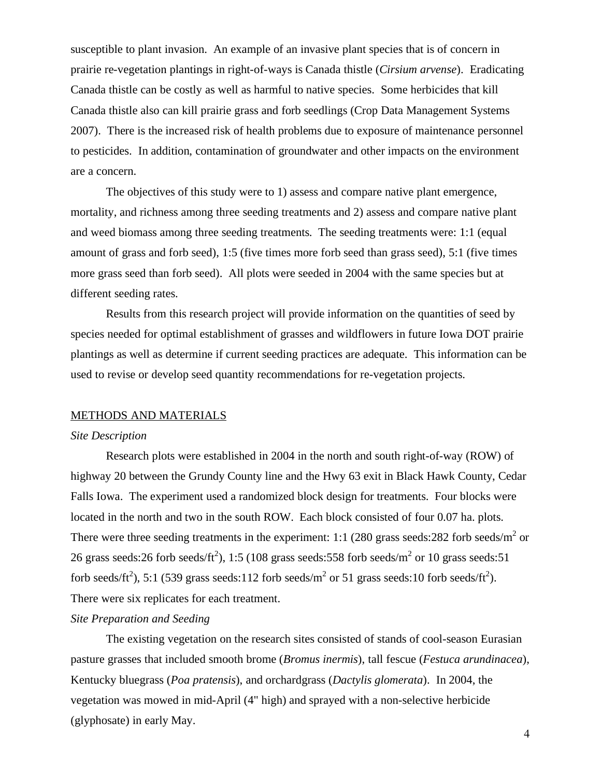susceptible to plant invasion. An example of an invasive plant species that is of concern in prairie re-vegetation plantings in right-of-ways is Canada thistle (*Cirsium arvense*). Eradicating Canada thistle can be costly as well as harmful to native species. Some herbicides that kill Canada thistle also can kill prairie grass and forb seedlings (Crop Data Management Systems 2007). There is the increased risk of health problems due to exposure of maintenance personnel to pesticides. In addition, contamination of groundwater and other impacts on the environment are a concern.

The objectives of this study were to 1) assess and compare native plant emergence, mortality, and richness among three seeding treatments and 2) assess and compare native plant and weed biomass among three seeding treatments. The seeding treatments were: 1:1 (equal amount of grass and forb seed), 1:5 (five times more forb seed than grass seed), 5:1 (five times more grass seed than forb seed). All plots were seeded in 2004 with the same species but at different seeding rates.

Results from this research project will provide information on the quantities of seed by species needed for optimal establishment of grasses and wildflowers in future Iowa DOT prairie plantings as well as determine if current seeding practices are adequate. This information can be used to revise or develop seed quantity recommendations for re-vegetation projects.

#### METHODS AND MATERIALS

#### *Site Description*

Research plots were established in 2004 in the north and south right-of-way (ROW) of highway 20 between the Grundy County line and the Hwy 63 exit in Black Hawk County, Cedar Falls Iowa. The experiment used a randomized block design for treatments. Four blocks were located in the north and two in the south ROW. Each block consisted of four 0.07 ha. plots. There were three seeding treatments in the experiment: 1:1 (280 grass seeds: 282 forb seeds/ $m^2$  or 26 grass seeds:26 forb seeds/ft<sup>2</sup>), 1:5 (108 grass seeds:558 forb seeds/m<sup>2</sup> or 10 grass seeds:51 forb seeds/ft<sup>2</sup>), 5:1 (539 grass seeds:112 forb seeds/m<sup>2</sup> or 51 grass seeds:10 forb seeds/ft<sup>2</sup>). There were six replicates for each treatment.

# *Site Preparation and Seeding*

The existing vegetation on the research sites consisted of stands of cool-season Eurasian pasture grasses that included smooth brome (*Bromus inermis*), tall fescue (*Festuca arundinacea*), Kentucky bluegrass (*Poa pratensis*), and orchardgrass (*Dactylis glomerata*). In 2004, the vegetation was mowed in mid-April (4" high) and sprayed with a non-selective herbicide (glyphosate) in early May.

4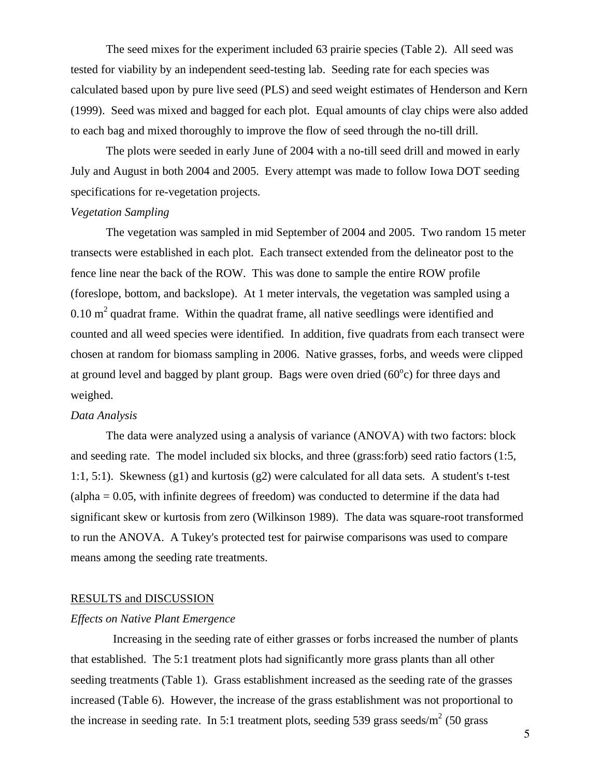The seed mixes for the experiment included 63 prairie species (Table 2). All seed was tested for viability by an independent seed-testing lab. Seeding rate for each species was calculated based upon by pure live seed (PLS) and seed weight estimates of Henderson and Kern (1999). Seed was mixed and bagged for each plot. Equal amounts of clay chips were also added to each bag and mixed thoroughly to improve the flow of seed through the no-till drill.

The plots were seeded in early June of 2004 with a no-till seed drill and mowed in early July and August in both 2004 and 2005. Every attempt was made to follow Iowa DOT seeding specifications for re-vegetation projects.

## *Vegetation Sampling*

The vegetation was sampled in mid September of 2004 and 2005. Two random 15 meter transects were established in each plot. Each transect extended from the delineator post to the fence line near the back of the ROW. This was done to sample the entire ROW profile (foreslope, bottom, and backslope). At 1 meter intervals, the vegetation was sampled using a  $0.10 \text{ m}^2$  quadrat frame. Within the quadrat frame, all native seedlings were identified and counted and all weed species were identified. In addition, five quadrats from each transect were chosen at random for biomass sampling in 2006. Native grasses, forbs, and weeds were clipped at ground level and bagged by plant group. Bags were oven dried  $(60^{\circ}c)$  for three days and weighed.

#### *Data Analysis*

The data were analyzed using a analysis of variance (ANOVA) with two factors: block and seeding rate. The model included six blocks, and three (grass:forb) seed ratio factors (1:5, 1:1, 5:1). Skewness (g1) and kurtosis (g2) were calculated for all data sets. A student's t-test (alpha = 0.05, with infinite degrees of freedom) was conducted to determine if the data had significant skew or kurtosis from zero (Wilkinson 1989). The data was square-root transformed to run the ANOVA. A Tukey's protected test for pairwise comparisons was used to compare means among the seeding rate treatments.

#### RESULTS and DISCUSSION

### *Effects on Native Plant Emergence*

 Increasing in the seeding rate of either grasses or forbs increased the number of plants that established. The 5:1 treatment plots had significantly more grass plants than all other seeding treatments (Table 1). Grass establishment increased as the seeding rate of the grasses increased (Table 6). However, the increase of the grass establishment was not proportional to the increase in seeding rate. In 5:1 treatment plots, seeding 539 grass seeds/ $m^2$  (50 grass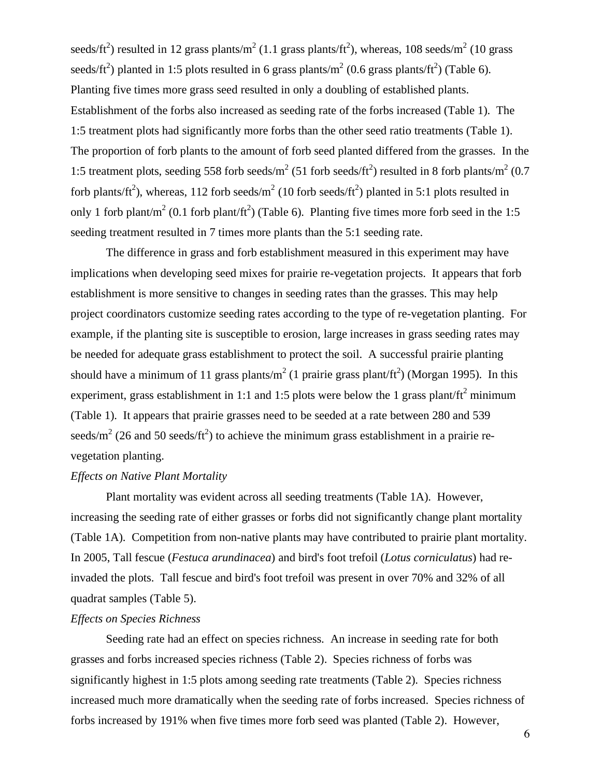seeds/ft<sup>2</sup>) resulted in 12 grass plants/m<sup>2</sup> (1.1 grass plants/ft<sup>2</sup>), whereas, 108 seeds/m<sup>2</sup> (10 grass seeds/ft<sup>2</sup>) planted in 1:5 plots resulted in 6 grass plants/ $m^2$  (0.6 grass plants/ft<sup>2</sup>) (Table 6). Planting five times more grass seed resulted in only a doubling of established plants. Establishment of the forbs also increased as seeding rate of the forbs increased (Table 1). The 1:5 treatment plots had significantly more forbs than the other seed ratio treatments (Table 1). The proportion of forb plants to the amount of forb seed planted differed from the grasses. In the 1:5 treatment plots, seeding 558 forb seeds/ $m^2$  (51 forb seeds/ft<sup>2</sup>) resulted in 8 forb plants/ $m^2$  (0.7 forb plants/ft<sup>2</sup>), whereas, 112 forb seeds/m<sup>2</sup> (10 forb seeds/ft<sup>2</sup>) planted in 5:1 plots resulted in only 1 forb plant/m<sup>2</sup> (0.1 forb plant/ft<sup>2</sup>) (Table 6). Planting five times more forb seed in the 1:5 seeding treatment resulted in 7 times more plants than the 5:1 seeding rate.

The difference in grass and forb establishment measured in this experiment may have implications when developing seed mixes for prairie re-vegetation projects. It appears that forb establishment is more sensitive to changes in seeding rates than the grasses. This may help project coordinators customize seeding rates according to the type of re-vegetation planting. For example, if the planting site is susceptible to erosion, large increases in grass seeding rates may be needed for adequate grass establishment to protect the soil. A successful prairie planting should have a minimum of 11 grass plants/ $m^2$  (1 prairie grass plant/ft<sup>2</sup>) (Morgan 1995). In this experiment, grass establishment in 1:1 and 1:5 plots were below the 1 grass plant/ $ft<sup>2</sup>$  minimum (Table 1). It appears that prairie grasses need to be seeded at a rate between 280 and 539 seeds/m<sup>2</sup> (26 and 50 seeds/ft<sup>2</sup>) to achieve the minimum grass establishment in a prairie revegetation planting.

# *Effects on Native Plant Mortality*

Plant mortality was evident across all seeding treatments (Table 1A). However, increasing the seeding rate of either grasses or forbs did not significantly change plant mortality (Table 1A). Competition from non-native plants may have contributed to prairie plant mortality. In 2005, Tall fescue (*Festuca arundinacea*) and bird's foot trefoil (*Lotus corniculatus*) had reinvaded the plots. Tall fescue and bird's foot trefoil was present in over 70% and 32% of all quadrat samples (Table 5).

# *Effects on Species Richness*

Seeding rate had an effect on species richness. An increase in seeding rate for both grasses and forbs increased species richness (Table 2). Species richness of forbs was significantly highest in 1:5 plots among seeding rate treatments (Table 2). Species richness increased much more dramatically when the seeding rate of forbs increased. Species richness of forbs increased by 191% when five times more forb seed was planted (Table 2). However,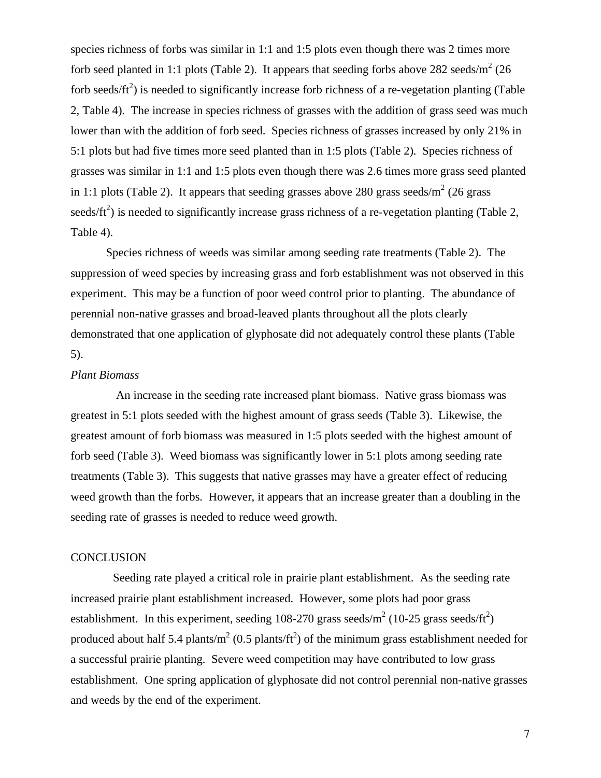species richness of forbs was similar in 1:1 and 1:5 plots even though there was 2 times more forb seed planted in 1:1 plots (Table 2). It appears that seeding forbs above 282 seeds/ $m^2$  (26 forb seeds/ $\text{ft}^2$ ) is needed to significantly increase forb richness of a re-vegetation planting (Table 2, Table 4). The increase in species richness of grasses with the addition of grass seed was much lower than with the addition of forb seed. Species richness of grasses increased by only 21% in 5:1 plots but had five times more seed planted than in 1:5 plots (Table 2). Species richness of grasses was similar in 1:1 and 1:5 plots even though there was 2.6 times more grass seed planted in 1:1 plots (Table 2). It appears that seeding grasses above 280 grass seeds/ $m^2$  (26 grass seeds/ $\text{ft}^2$ ) is needed to significantly increase grass richness of a re-vegetation planting (Table 2, Table 4).

Species richness of weeds was similar among seeding rate treatments (Table 2). The suppression of weed species by increasing grass and forb establishment was not observed in this experiment. This may be a function of poor weed control prior to planting. The abundance of perennial non-native grasses and broad-leaved plants throughout all the plots clearly demonstrated that one application of glyphosate did not adequately control these plants (Table 5).

## *Plant Biomass*

 An increase in the seeding rate increased plant biomass. Native grass biomass was greatest in 5:1 plots seeded with the highest amount of grass seeds (Table 3). Likewise, the greatest amount of forb biomass was measured in 1:5 plots seeded with the highest amount of forb seed (Table 3). Weed biomass was significantly lower in 5:1 plots among seeding rate treatments (Table 3). This suggests that native grasses may have a greater effect of reducing weed growth than the forbs. However, it appears that an increase greater than a doubling in the seeding rate of grasses is needed to reduce weed growth.

# **CONCLUSION**

 Seeding rate played a critical role in prairie plant establishment. As the seeding rate increased prairie plant establishment increased. However, some plots had poor grass establishment. In this experiment, seeding 108-270 grass seeds/ $m^2$  (10-25 grass seeds/ft<sup>2</sup>) produced about half 5.4 plants/m<sup>2</sup> (0.5 plants/ft<sup>2</sup>) of the minimum grass establishment needed for a successful prairie planting. Severe weed competition may have contributed to low grass establishment. One spring application of glyphosate did not control perennial non-native grasses and weeds by the end of the experiment.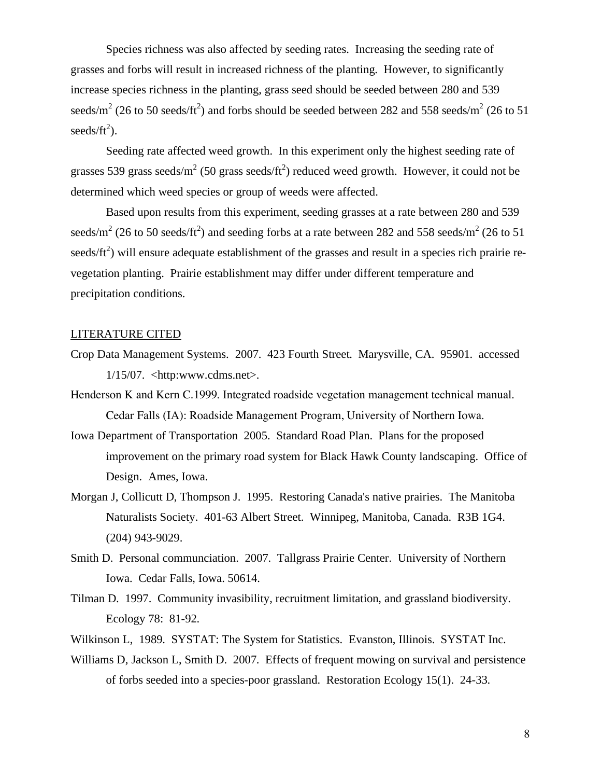Species richness was also affected by seeding rates. Increasing the seeding rate of grasses and forbs will result in increased richness of the planting. However, to significantly increase species richness in the planting, grass seed should be seeded between 280 and 539 seeds/m<sup>2</sup> (26 to 50 seeds/ft<sup>2</sup>) and forbs should be seeded between 282 and 558 seeds/m<sup>2</sup> (26 to 51)  $seeds/ft^2$ ).

Seeding rate affected weed growth. In this experiment only the highest seeding rate of grasses 539 grass seeds/ $m^2$  (50 grass seeds/ $ft^2$ ) reduced weed growth. However, it could not be determined which weed species or group of weeds were affected.

Based upon results from this experiment, seeding grasses at a rate between 280 and 539 seeds/m<sup>2</sup> (26 to 50 seeds/ft<sup>2</sup>) and seeding forbs at a rate between 282 and 558 seeds/m<sup>2</sup> (26 to 51) seeds/ $\text{ft}^2$ ) will ensure adequate establishment of the grasses and result in a species rich prairie revegetation planting. Prairie establishment may differ under different temperature and precipitation conditions.

## LITERATURE CITED

- Crop Data Management Systems. 2007. 423 Fourth Street. Marysville, CA. 95901. accessed  $1/15/07.$  <http:www.cdms.net>.
- Henderson K and Kern C.1999. Integrated roadside vegetation management technical manual. Cedar Falls (IA): Roadside Management Program, University of Northern Iowa.
- Iowa Department of Transportation 2005. Standard Road Plan. Plans for the proposed improvement on the primary road system for Black Hawk County landscaping. Office of Design. Ames, Iowa.
- Morgan J, Collicutt D, Thompson J. 1995. Restoring Canada's native prairies. The Manitoba Naturalists Society. 401-63 Albert Street. Winnipeg, Manitoba, Canada. R3B 1G4. (204) 943-9029.
- Smith D. Personal communciation. 2007. Tallgrass Prairie Center. University of Northern Iowa. Cedar Falls, Iowa. 50614.
- Tilman D. 1997. Community invasibility, recruitment limitation, and grassland biodiversity. Ecology 78: 81-92.
- Wilkinson L, 1989. SYSTAT: The System for Statistics. Evanston, Illinois. SYSTAT Inc.
- Williams D, Jackson L, Smith D. 2007. Effects of frequent mowing on survival and persistence of forbs seeded into a species-poor grassland. Restoration Ecology 15(1). 24-33.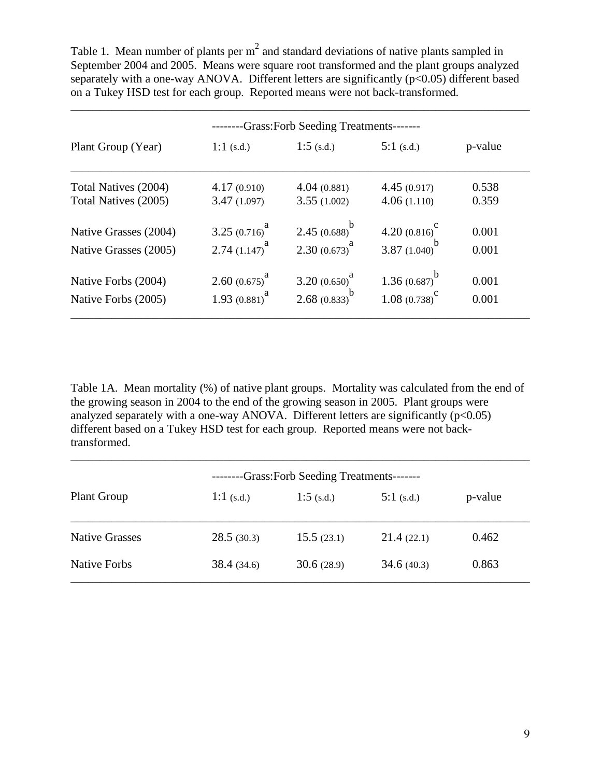Table 1. Mean number of plants per  $m<sup>2</sup>$  and standard deviations of native plants sampled in September 2004 and 2005. Means were square root transformed and the plant groups analyzed separately with a one-way ANOVA. Different letters are significantly  $(p<0.05)$  different based on a Tukey HSD test for each group. Reported means were not back-transformed.

\_\_\_\_\_\_\_\_\_\_\_\_\_\_\_\_\_\_\_\_\_\_\_\_\_\_\_\_\_\_\_\_\_\_\_\_\_\_\_\_\_\_\_\_\_\_\_\_\_\_\_\_\_\_\_\_\_\_\_\_\_\_\_\_\_\_\_\_\_\_\_\_\_\_\_\_\_\_

| -Grass:Forb Seeding Treatments------- |                  |                             |                        |                |  |  |  |  |
|---------------------------------------|------------------|-----------------------------|------------------------|----------------|--|--|--|--|
| Plant Group (Year)                    | 1:1 $(s.d.)$     | 1:5 $(s.d.)$                | $5:1$ (s.d.)           | p-value        |  |  |  |  |
| Total Natives (2004)                  | 4.17(0.910)      | 4.04(0.881)                 | 4.45(0.917)            | 0.538<br>0.359 |  |  |  |  |
| Total Natives (2005)                  | 3.47(1.097)      | 3.55(1.002)                 | 4.06(1.110)            |                |  |  |  |  |
| Native Grasses (2004)                 | 3.25 $(0.716)^a$ | 2.45 $(0.688)^b$            | 4.20 $(0.816)^{\circ}$ | 0.001          |  |  |  |  |
| Native Grasses (2005)                 | 2.74 $(1.147)^a$ | 2.30 $(0.673)^a$            | 3.87 $(1.040)^b$       | 0.001          |  |  |  |  |
| Native Forbs (2004)                   | 2.60 $(0.675)^a$ | 3.20 $(0.650)^d$            | 1.36 $(0.687)^b$       | 0.001          |  |  |  |  |
| Native Forbs (2005)                   | 1.93 $(0.881)^a$ | 2.68 $(0.833)$ <sup>b</sup> | $1.08(0.738)^c$        | 0.001          |  |  |  |  |

Table 1A. Mean mortality (%) of native plant groups. Mortality was calculated from the end of the growing season in 2004 to the end of the growing season in 2005. Plant groups were analyzed separately with a one-way ANOVA. Different letters are significantly  $(p<0.05)$ different based on a Tukey HSD test for each group. Reported means were not backtransformed.

| --Grass:Forb Seeding Treatments------- |              |              |              |         |  |  |  |  |
|----------------------------------------|--------------|--------------|--------------|---------|--|--|--|--|
| Plant Group                            | 1:1 $(s.d.)$ | 1:5 $(s.d.)$ | 5:1 $(s.d.)$ | p-value |  |  |  |  |
| <b>Native Grasses</b>                  | 28.5(30.3)   | 15.5(23.1)   | 21.4(22.1)   | 0.462   |  |  |  |  |
| <b>Native Forbs</b>                    | 38.4(34.6)   | 30.6(28.9)   | 34.6(40.3)   | 0.863   |  |  |  |  |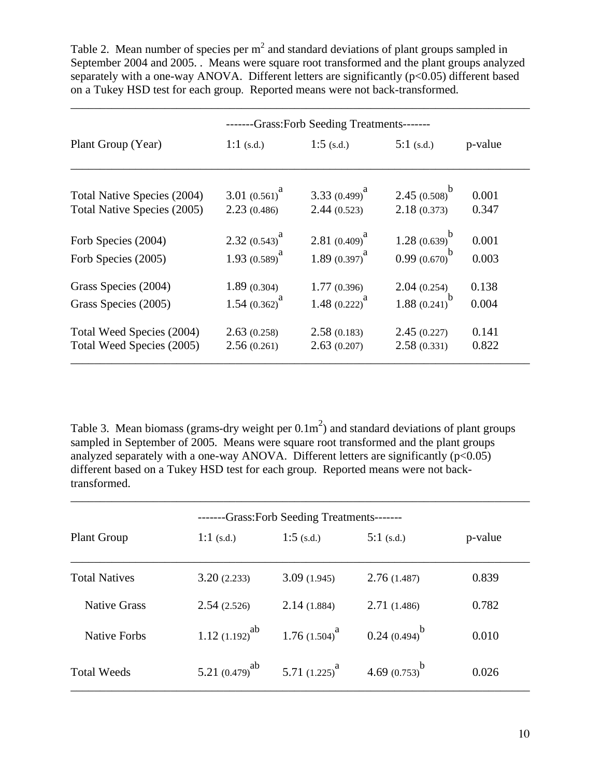Table 2. Mean number of species per  $m^2$  and standard deviations of plant groups sampled in September 2004 and 2005. . Means were square root transformed and the plant groups analyzed separately with a one-way ANOVA. Different letters are significantly  $(p<0.05)$  different based on a Tukey HSD test for each group. Reported means were not back-transformed.

| -Grass: Forb Seeding Treatments------- |                  |                  |                  |         |  |  |  |  |
|----------------------------------------|------------------|------------------|------------------|---------|--|--|--|--|
| Plant Group (Year)                     | 1:1 $(s.d.)$     | 1:5 $(s.d.)$     | $5:1$ (s.d.)     | p-value |  |  |  |  |
| Total Native Species (2004)            | 3.01 $(0.561)^a$ | 3.33 $(0.499)^a$ | 2.45 $(0.508)^b$ | 0.001   |  |  |  |  |
| Total Native Species (2005)            | 2.23(0.486)      | 2.44(0.523)      | 2.18(0.373)      | 0.347   |  |  |  |  |
| Forb Species (2004)                    | 2.32 $(0.543)^a$ | 2.81 $(0.409)^a$ | 1.28 $(0.639)^b$ | 0.001   |  |  |  |  |
| Forb Species (2005)                    | 1.93 $(0.589)^a$ | 1.89 $(0.397)^a$ | $0.99(0.670)^b$  | 0.003   |  |  |  |  |
| Grass Species (2004)                   | 1.89(0.304)      | 1.77(0.396)      | 2.04(0.254)      | 0.138   |  |  |  |  |
| Grass Species (2005)                   | 1.54 $(0.362)^a$ | 1.48 $(0.222)^a$ | 1.88 $(0.241)^b$ | 0.004   |  |  |  |  |
| Total Weed Species (2004)              | 2.63(0.258)      | 2.58(0.183)      | 2.45(0.227)      | 0.141   |  |  |  |  |
| Total Weed Species (2005)              | 2.56(0.261)      | 2.63(0.207)      | 2.58(0.331)      | 0.822   |  |  |  |  |

Table 3. Mean biomass (grams-dry weight per  $0.1\text{m}^2$ ) and standard deviations of plant groups sampled in September of 2005. Means were square root transformed and the plant groups analyzed separately with a one-way ANOVA. Different letters are significantly  $(p<0.05)$ different based on a Tukey HSD test for each group. Reported means were not backtransformed.

\_\_\_\_\_\_\_\_\_\_\_\_\_\_\_\_\_\_\_\_\_\_\_\_\_\_\_\_\_\_\_\_\_\_\_\_\_\_\_\_\_\_\_\_\_\_\_\_\_\_\_\_\_\_\_\_\_\_\_\_\_\_\_\_\_\_\_\_\_\_\_\_\_\_\_\_\_\_

| -Grass: Forb Seeding Treatments------- |                     |                  |                   |         |  |  |  |  |
|----------------------------------------|---------------------|------------------|-------------------|---------|--|--|--|--|
| <b>Plant Group</b>                     | 1:1 $(s.d.)$        | 1:5 $(s.d.)$     | 5:1 $(s.d.)$      | p-value |  |  |  |  |
| <b>Total Natives</b>                   | 3.20(2.233)         | 3.09(1.945)      | 2.76(1.487)       | 0.839   |  |  |  |  |
| <b>Native Grass</b>                    | 2.54(2.526)         | 2.14(1.884)      | 2.71(1.486)       | 0.782   |  |  |  |  |
| <b>Native Forbs</b>                    | 1.12 $(1.192)^{ab}$ | 1.76 $(1.504)^a$ | $0.24(0.494)^{b}$ | 0.010   |  |  |  |  |
| <b>Total Weeds</b>                     | 5.21 $(0.479)^{ab}$ | 5.71 $(1.225)^a$ | 4.69 $(0.753)^b$  | 0.026   |  |  |  |  |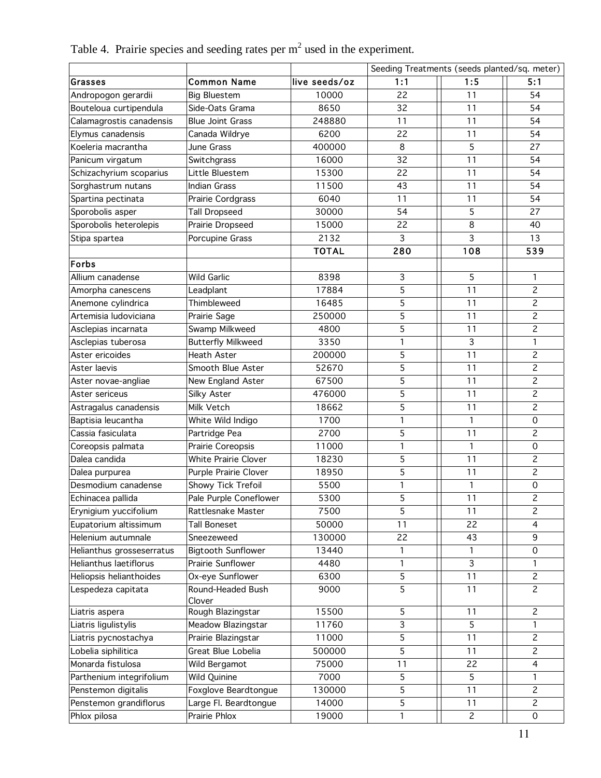Table 4. Prairie species and seeding rates per  $m<sup>2</sup>$  used in the experiment.

|                           |                           |               | Seeding Treatments (seeds planted/sq. meter) |                |                     |  |
|---------------------------|---------------------------|---------------|----------------------------------------------|----------------|---------------------|--|
| Grasses                   | <b>Common Name</b>        | live seeds/oz | 1:1                                          | 1:5            | 5:1                 |  |
| Andropogon gerardii       | <b>Big Bluestem</b>       | 10000         | 22                                           | 11             | 54                  |  |
| Bouteloua curtipendula    | Side-Oats Grama           | 8650          | 32                                           | 11             | 54                  |  |
| Calamagrostis canadensis  | <b>Blue Joint Grass</b>   | 248880        | 11                                           | 11             | 54                  |  |
| Elymus canadensis         | Canada Wildrye            | 6200          | 22                                           | 11             | 54                  |  |
| Koeleria macrantha        | June Grass                | 400000        | 8                                            | 5              | 27                  |  |
| Panicum virgatum          | Switchgrass               | 16000         | 32                                           | 11             | 54                  |  |
| Schizachyrium scoparius   | Little Bluestem           | 15300         | 22                                           | 11             | 54                  |  |
| Sorghastrum nutans        | <b>Indian Grass</b>       | 11500         | 43                                           | 11             | 54                  |  |
| Spartina pectinata        | Prairie Cordgrass         | 6040          | 11                                           | 11             | 54                  |  |
| Sporobolis asper          | <b>Tall Dropseed</b>      | 30000         | 54                                           | 5              | 27                  |  |
| Sporobolis heterolepis    | Prairie Dropseed          | 15000         | 22                                           | 8              | 40                  |  |
| Stipa spartea             | Porcupine Grass           | 2132          | 3                                            | 3              | 13                  |  |
|                           |                           | <b>TOTAL</b>  | 280                                          | 108            | 539                 |  |
| Forbs                     |                           |               |                                              |                |                     |  |
| Allium canadense          | <b>Wild Garlic</b>        | 8398          | $\mathsf{3}$                                 | 5              | 1                   |  |
| Amorpha canescens         | Leadplant                 | 17884         | 5                                            | 11             | $\overline{c}$      |  |
| Anemone cylindrica        | Thimbleweed               | 16485         | 5                                            | 11             | $\overline{c}$      |  |
| Artemisia ludoviciana     | Prairie Sage              | 250000        | 5                                            | 11             | $\overline{c}$      |  |
| Asclepias incarnata       | Swamp Milkweed            | 4800          | 5                                            | 11             | $\overline{c}$      |  |
| Asclepias tuberosa        | <b>Butterfly Milkweed</b> | 3350          | 1                                            | 3              | $\mathbf{1}$        |  |
| Aster ericoides           | Heath Aster               | 200000        | 5                                            | 11             | $\overline{c}$      |  |
| Aster laevis              | Smooth Blue Aster         | 52670         | 5                                            | 11             | $\mathbf{Z}$        |  |
| Aster novae-angliae       | New England Aster         | 67500         | 5                                            | 11             | $\overline{c}$      |  |
| Aster sericeus            | Silky Aster               | 476000        | 5                                            | 11             | $\overline{2}$      |  |
| Astragalus canadensis     | Milk Vetch                | 18662         | 5                                            | 11             | $\overline{c}$      |  |
| Baptisia leucantha        | White Wild Indigo         | 1700          | 1                                            | $\mathbf{1}$   | $\mathbf 0$         |  |
| Cassia fasiculata         | Partridge Pea             | 2700          | 5                                            | 11             | $\overline{c}$      |  |
| Coreopsis palmata         | Prairie Coreopsis         | 11000         | $\mathbf{1}$                                 | $\mathbf{1}$   | $\mathbf 0$         |  |
| Dalea candida             | White Prairie Clover      | 18230         | 5                                            | 11             | $\overline{c}$      |  |
| Dalea purpurea            | Purple Prairie Clover     | 18950         | 5                                            | 11             | $\overline{c}$      |  |
| Desmodium canadense       | <b>Showy Tick Trefoil</b> | 5500          | $\mathbf{1}$                                 | $\mathbf{1}$   | $\mathbf 0$         |  |
| Echinacea pallida         | Pale Purple Coneflower    | 5300          | 5                                            | 11             | $\overline{c}$      |  |
| Erynigium yuccifolium     | Rattlesnake Master        | 7500          | 5                                            | 11             | $\overline{c}$      |  |
| Eupatorium altissimum     | <b>Tall Boneset</b>       | 50000         | 11                                           | 22             | 4                   |  |
| Helenium autumnale        | Sneezeweed                | 130000        | 22                                           | 43             | 9                   |  |
| Helianthus grosseserratus | <b>Bigtooth Sunflower</b> | 13440         | 1                                            |                | $\mathbf 0$         |  |
| Helianthus laetiflorus    | Prairie Sunflower         | 4480          | $\mathbf{1}$                                 | 3              | $\mathbf{1}$        |  |
| Heliopsis helianthoides   | Ox-eye Sunflower          | 6300          | 5                                            | 11             | $\mathbf{2}$        |  |
| Lespedeza capitata        | Round-Headed Bush         | 9000          | 5                                            | 11             | $\overline{c}$      |  |
|                           | Clover                    |               |                                              |                |                     |  |
| Liatris aspera            | Rough Blazingstar         | 15500         | $\mathsf S$                                  | 11             | $\overline{c}$      |  |
| Liatris ligulistylis      | Meadow Blazingstar        | 11760         | 3                                            | 5              | 1                   |  |
| Liatris pycnostachya      | Prairie Blazingstar       | 11000         | 5                                            | 11             | $\overline{c}$      |  |
| Lobelia siphilitica       | Great Blue Lobelia        | 500000        | 5                                            | 11             | $\overline{c}$      |  |
| Monarda fistulosa         | Wild Bergamot             | 75000         | 11                                           | 22             | $\overline{4}$      |  |
| Parthenium integrifolium  | Wild Quinine              | 7000          | $\sqrt{5}$                                   | 5              | $\mathbf{1}$        |  |
| Penstemon digitalis       | Foxglove Beardtongue      | 130000        | 5                                            | 11             | $\overline{c}$      |  |
| Penstemon grandiflorus    | Large Fl. Beardtongue     | 14000         | 5                                            | 11             | $\overline{c}$      |  |
| Phlox pilosa              | Prairie Phlox             | 19000         | 1                                            | $\overline{c}$ | $\mathsf{O}\xspace$ |  |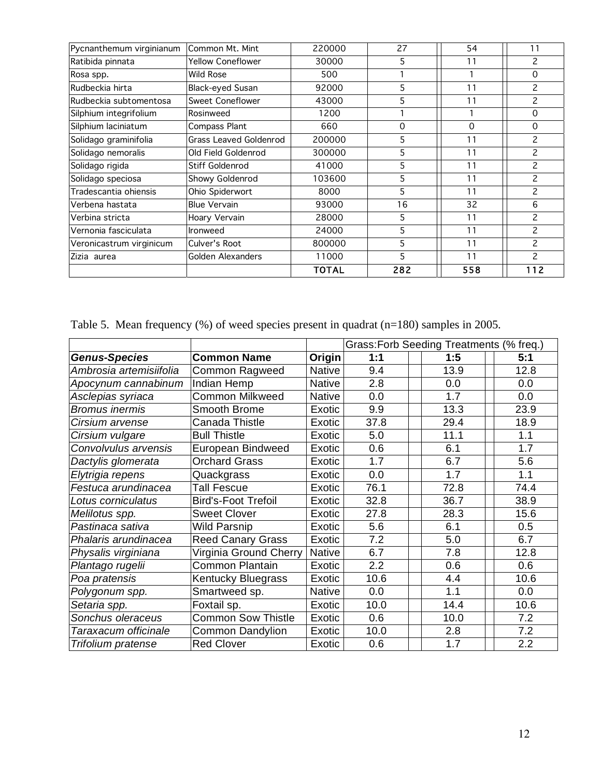| Pycnanthemum virginianum | Common Mt. Mint               | 220000       | 27       | 54       | 11                       |
|--------------------------|-------------------------------|--------------|----------|----------|--------------------------|
| Ratibida pinnata         | <b>Yellow Coneflower</b>      | 30000        | 5        | 11       | $\overline{c}$           |
| Rosa spp.                | <b>Wild Rose</b>              | 500          |          |          | $\Omega$                 |
| Rudbeckia hirta          | <b>Black-eyed Susan</b>       | 92000        | 5        | 11       | $\overline{c}$           |
| Rudbeckia subtomentosa   | Sweet Coneflower              | 43000        | 5        | 11       | $\overline{c}$           |
| Silphium integrifolium   | Rosinweed                     | 1200         |          |          | $\Omega$                 |
| Silphium laciniatum      | <b>Compass Plant</b>          | 660          | $\Omega$ | $\Omega$ | $\Omega$                 |
| Solidago graminifolia    | <b>Grass Leaved Goldenrod</b> | 200000       | 5        | 11       | $\overline{c}$           |
| Solidago nemoralis       | Old Field Goldenrod           | 300000       | 5        | 11       | $\overline{c}$           |
| Solidago rigida          | Stiff Goldenrod               | 41000        | 5        | 11       | $\overline{c}$           |
| Solidago speciosa        | Showy Goldenrod               | 103600       | 5        | 11       | $\overline{c}$           |
| Tradescantia ohiensis    | Ohio Spiderwort               | 8000         | 5        | 11       | $\overline{c}$           |
| Verbena hastata          | <b>Blue Vervain</b>           | 93000        | 16       | 32       | 6                        |
| Verbina stricta          | Hoary Vervain                 | 28000        | 5        | 11       | 2                        |
| Vernonia fasciculata     | <b>Ironweed</b>               | 24000        | 5        | 11       | $\overline{\phantom{0}}$ |
| Veronicastrum virginicum | Culver's Root                 | 800000       | 5        | 11       | 2                        |
| Zizia aurea              | Golden Alexanders             | 11000        | 5        | 11       | $\mathcal{P}$            |
|                          |                               | <b>TOTAL</b> | 282      | 558      | 112                      |

Table 5. Mean frequency (%) of weed species present in quadrat (n=180) samples in 2005.

|                         |                            |               | Grass: Forb Seeding Treatments (% freq.) |  |      |      |  |
|-------------------------|----------------------------|---------------|------------------------------------------|--|------|------|--|
| <b>Genus-Species</b>    | <b>Common Name</b>         | Origin        | 1:1                                      |  | 1:5  | 5:1  |  |
| Ambrosia artemisiifolia | Common Ragweed             | <b>Native</b> | 9.4                                      |  | 13.9 | 12.8 |  |
| Apocynum cannabinum     | Indian Hemp                | Native        | 2.8                                      |  | 0.0  | 0.0  |  |
| Asclepias syriaca       | <b>Common Milkweed</b>     | <b>Native</b> | 0.0                                      |  | 1.7  | 0.0  |  |
| <b>Bromus inermis</b>   | Smooth Brome               | Exotic        | 9.9                                      |  | 13.3 | 23.9 |  |
| Cirsium arvense         | Canada Thistle             | Exotic        | 37.8                                     |  | 29.4 | 18.9 |  |
| Cirsium vulgare         | <b>Bull Thistle</b>        | Exotic        | 5.0                                      |  | 11.1 | 1.1  |  |
| Convolvulus arvensis    | European Bindweed          | Exotic        | 0.6                                      |  | 6.1  | 1.7  |  |
| Dactylis glomerata      | <b>Orchard Grass</b>       | Exotic        | 1.7                                      |  | 6.7  | 5.6  |  |
| Elytrigia repens        | Quackgrass                 | Exotic        | 0.0                                      |  | 1.7  | 1.1  |  |
| Festuca arundinacea     | <b>Tall Fescue</b>         | Exotic        | 76.1                                     |  | 72.8 | 74.4 |  |
| Lotus corniculatus      | <b>Bird's-Foot Trefoil</b> | Exotic        | 32.8                                     |  | 36.7 | 38.9 |  |
| Melilotus spp.          | <b>Sweet Clover</b>        | Exotic        | 27.8                                     |  | 28.3 | 15.6 |  |
| Pastinaca sativa        | <b>Wild Parsnip</b>        | Exotic        | 5.6                                      |  | 6.1  | 0.5  |  |
| Phalaris arundinacea    | <b>Reed Canary Grass</b>   | Exotic        | 7.2                                      |  | 5.0  | 6.7  |  |
| Physalis virginiana     | Virginia Ground Cherry     | <b>Native</b> | 6.7                                      |  | 7.8  | 12.8 |  |
| Plantago rugelii        | <b>Common Plantain</b>     | Exotic        | 2.2                                      |  | 0.6  | 0.6  |  |
| Poa pratensis           | <b>Kentucky Bluegrass</b>  | Exotic        | 10.6                                     |  | 4.4  | 10.6 |  |
| Polygonum spp.          | Smartweed sp.              | <b>Native</b> | 0.0                                      |  | 1.1  | 0.0  |  |
| Setaria spp.            | Foxtail sp.                | Exotic        | 10.0                                     |  | 14.4 | 10.6 |  |
| Sonchus oleraceus       | <b>Common Sow Thistle</b>  | Exotic        | 0.6                                      |  | 10.0 | 7.2  |  |
| Taraxacum officinale    | <b>Common Dandylion</b>    | Exotic        | 10.0                                     |  | 2.8  | 7.2  |  |
| Trifolium pratense      | <b>Red Clover</b>          | Exotic        | 0.6                                      |  | 1.7  | 2.2  |  |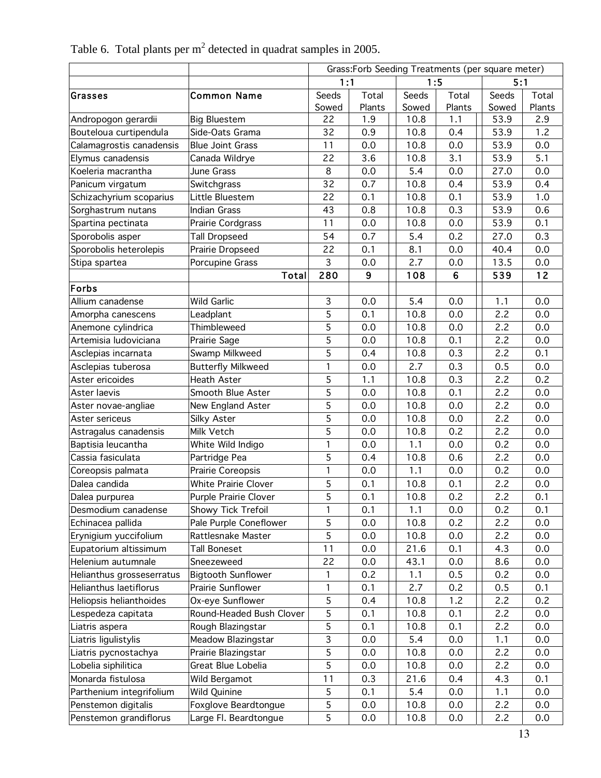|                           |                           | Grass:Forb Seeding Treatments (per square meter) |        |       |                |       |        |
|---------------------------|---------------------------|--------------------------------------------------|--------|-------|----------------|-------|--------|
|                           |                           | 1:1                                              |        |       | 1:5            | 5:1   |        |
| ∣Grasses                  | <b>Common Name</b>        | Seeds                                            | Total  | Seeds | Total          | Seeds | Total  |
|                           |                           | Sowed                                            | Plants | Sowed | Plants         | Sowed | Plants |
| Andropogon gerardii       | <b>Big Bluestem</b>       | 22                                               | 1.9    | 10.8  | 1.1            | 53.9  | 2.9    |
| Bouteloua curtipendula    | Side-Oats Grama           | 32                                               | 0.9    | 10.8  | 0.4            | 53.9  | 1.2    |
| Calamagrostis canadensis  | <b>Blue Joint Grass</b>   | 11                                               | 0.0    | 10.8  | 0.0            | 53.9  | 0.0    |
| Elymus canadensis         | Canada Wildrye            | 22                                               | 3.6    | 10.8  | 3.1            | 53.9  | 5.1    |
| Koeleria macrantha        | June Grass                | 8                                                | 0.0    | 5.4   | 0.0            | 27.0  | 0.0    |
| Panicum virgatum          | Switchgrass               | 32                                               | 0.7    | 10.8  | 0.4            | 53.9  | 0.4    |
| Schizachyrium scoparius   | Little Bluestem           | 22                                               | 0.1    | 10.8  | 0.1            | 53.9  | 1.0    |
| Sorghastrum nutans        | <b>Indian Grass</b>       | 43                                               | 0.8    | 10.8  | 0.3            | 53.9  | 0.6    |
| Spartina pectinata        | Prairie Cordgrass         | 11                                               | 0.0    | 10.8  | 0.0            | 53.9  | 0.1    |
| Sporobolis asper          | <b>Tall Dropseed</b>      | 54                                               | 0.7    | 5.4   | 0.2            | 27.0  | 0.3    |
| Sporobolis heterolepis    | Prairie Dropseed          | 22                                               | 0.1    | 8.1   | 0.0            | 40.4  | 0.0    |
| Stipa spartea             | Porcupine Grass           | 3                                                | 0.0    | 2.7   | 0.0            | 13.5  | 0.0    |
|                           | Total                     | 280                                              | 9      | 108   | $6\phantom{1}$ | 539   | 12     |
| Forbs                     |                           |                                                  |        |       |                |       |        |
| Allium canadense          | <b>Wild Garlic</b>        | 3                                                | 0.0    | 5.4   | 0.0            | 1.1   | 0.0    |
| Amorpha canescens         | Leadplant                 | 5                                                | 0.1    | 10.8  | 0.0            | 2.2   | 0.0    |
| Anemone cylindrica        | Thimbleweed               | 5                                                | 0.0    | 10.8  | 0.0            | 2.2   | 0.0    |
| Artemisia ludoviciana     | Prairie Sage              | 5                                                | 0.0    | 10.8  | 0.1            | 2.2   | 0.0    |
| Asclepias incarnata       | Swamp Milkweed            | 5                                                | 0.4    | 10.8  | 0.3            | 2.2   | 0.1    |
| Asclepias tuberosa        | <b>Butterfly Milkweed</b> | 1                                                | 0.0    | 2.7   | 0.3            | 0.5   | 0.0    |
| Aster ericoides           | Heath Aster               | 5                                                | 1.1    | 10.8  | 0.3            | 2.2   | 0.2    |
| Aster laevis              | Smooth Blue Aster         | 5                                                | 0.0    | 10.8  | 0.1            | 2.2   | 0.0    |
| Aster novae-angliae       | New England Aster         | 5                                                | 0.0    | 10.8  | 0.0            | 2.2   | 0.0    |
| Aster sericeus            | Silky Aster               | 5                                                | 0.0    | 10.8  | 0.0            | 2.2   | 0.0    |
| Astragalus canadensis     | Milk Vetch                | 5                                                | 0.0    | 10.8  | 0.2            | 2.2   | 0.0    |
| Baptisia leucantha        | White Wild Indigo         | 1                                                | 0.0    | 1.1   | 0.0            | 0.2   | 0.0    |
| Cassia fasiculata         | Partridge Pea             | 5                                                | 0.4    | 10.8  | 0.6            | 2.2   | 0.0    |
| Coreopsis palmata         | Prairie Coreopsis         | 1                                                | 0.0    | 1.1   | 0.0            | 0.2   | 0.0    |
| Dalea candida             | White Prairie Clover      | 5                                                | 0.1    | 10.8  | 0.1            | 2.2   | 0.0    |
| Dalea purpurea            | Purple Prairie Clover     | $\overline{5}$                                   | 0.1    | 10.8  | 0.2            | 2.2   | 0.1    |
| Desmodium canadense       | Showy Tick Trefoil        | 1                                                | 0.1    | 1.1   | 0.0            | 0.2   | 0.1    |
| Echinacea pallida         | Pale Purple Coneflower    | 5                                                | 0.0    | 10.8  | 0.2            | 2.2   | 0.0    |
| Erynigium yuccifolium     | Rattlesnake Master        | 5                                                | 0.0    | 10.8  | 0.0            | 2.2   | 0.0    |
| Eupatorium altissimum     | Tall Boneset              | 11                                               | 0.0    | 21.6  | 0.1            | 4.3   | 0.0    |
| Helenium autumnale        | Sneezeweed                | 22                                               | 0.0    | 43.1  | 0.0            | 8.6   | 0.0    |
| Helianthus grosseserratus | <b>Bigtooth Sunflower</b> | 1                                                | 0.2    | 1.1   | 0.5            | 0.2   | 0.0    |
| Helianthus laetiflorus    | Prairie Sunflower         | 1                                                | 0.1    | 2.7   | 0.2            | 0.5   | 0.1    |
| Heliopsis helianthoides   | Ox-eye Sunflower          | 5                                                | 0.4    | 10.8  | 1.2            | 2.2   | 0.2    |
| Lespedeza capitata        | Round-Headed Bush Clover  | 5                                                | 0.1    | 10.8  | 0.1            | 2.2   | 0.0    |
| Liatris aspera            | Rough Blazingstar         | 5                                                | 0.1    | 10.8  | 0.1            | 2.2   | 0.0    |
| Liatris ligulistylis      | Meadow Blazingstar        | 3                                                | 0.0    | 5.4   | 0.0            | 1.1   | 0.0    |
| Liatris pycnostachya      | Prairie Blazingstar       | 5                                                | 0.0    | 10.8  | 0.0            | 2.2   | 0.0    |
| Lobelia siphilitica       | Great Blue Lobelia        | 5                                                | 0.0    | 10.8  | 0.0            | 2.2   | 0.0    |
| Monarda fistulosa         | Wild Bergamot             | 11                                               | 0.3    | 21.6  | 0.4            | 4.3   | 0.1    |
| Parthenium integrifolium  | Wild Quinine              | 5                                                | 0.1    | 5.4   | 0.0            | 1.1   | 0.0    |
| Penstemon digitalis       | Foxglove Beardtongue      | 5                                                | 0.0    | 10.8  | 0.0            | 2.2   | 0.0    |
| Penstemon grandiflorus    | Large Fl. Beardtongue     | 5                                                | 0.0    | 10.8  | 0.0            | 2.2   | 0.0    |

Table 6. Total plants per  $m^2$  detected in quadrat samples in 2005.